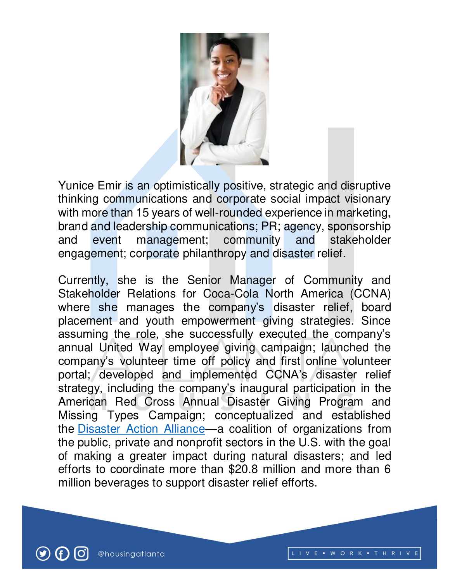

Yunice Emir is an optimistically positive, strategic and disruptive thinking communications and corporate social impact visionary with more than 15 years of well-rounded experience in marketing, brand and leadership communications; PR; agency, sponsorship and event management; community and stakeholder engagement; corporate philanthropy and disaster relief.

Currently, she is the Senior Manager of Community and Stakeholder Relations for Coca-Cola North America (CCNA) where she manages the company's disaster relief, board placement and youth empowerment giving strategies. Since assuming the role, she successfully executed the company's annual United Way employee giving campaign; launched the company's volunteer time off policy and first online volunteer portal; developed and implemented CCNA's disaster relief strategy, including the company's inaugural participation in the American Red Cross Annual Disaster Giving Program and Missing Types Campaign; conceptualized and established the [Disaster Action Alliance](https://protect-us.mimecast.com/s/FLMaC2kE0JTZExrinJFQ1?domain=11alive.com)—a coalition of organizations from the public, private and nonprofit sectors in the U.S. with the goal of making a greater impact during natural disasters; and led efforts to coordinate more than \$20.8 million and more than 6 million beverages to support disaster relief efforts.